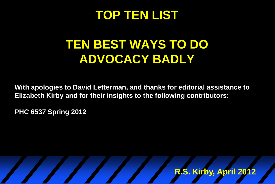### **TOP TEN LIST**

## **TEN BEST WAYS TO DO ADVOCACY BADLY**

**With apologies to David Letterman, and thanks for editorial assistance to Elizabeth Kirby and for their insights to the following contributors:** 

**PHC 6537 Spring 2012**

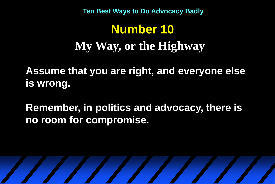# **Number 10 My Way, or the Highway**

**Assume that you are right, and everyone else is wrong.**

**Remember, in politics and advocacy, there is no room for compromise.**

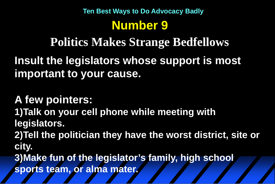## **Number 9 Ten Best Ways to Do Advocacy Badly**

**Politics Makes Strange Bedfellows**

**Insult the legislators whose support is most important to your cause.**

**A few pointers: 1)Talk on your cell phone while meeting with legislators. 2)Tell the politician they have the worst district, site or city. 3)Make fun of the legislator's family, high school sports team, or alma mater.**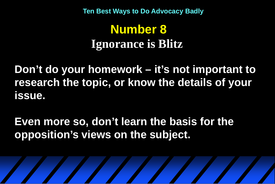## **Number 8 Ignorance is Blitz**

**Don't do your homework – it's not important to research the topic, or know the details of your issue.**

**Even more so, don't learn the basis for the opposition's views on the subject.**

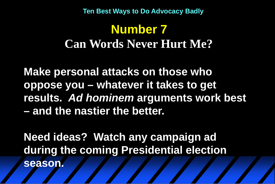## **Number 7 Can Words Never Hurt Me?**

**Make personal attacks on those who oppose you – whatever it takes to get results.** *Ad hominem* **arguments work best – and the nastier the better.**

**Need ideas? Watch any campaign ad during the coming Presidential election season.**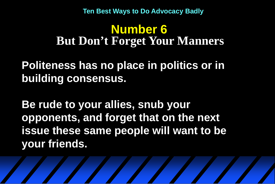#### **Number 6 But Don't Forget Your Manners**

**Politeness has no place in politics or in building consensus.** 

**Be rude to your allies, snub your opponents, and forget that on the next issue these same people will want to be your friends.**

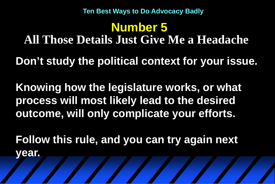**Number 5 All Those Details Just Give Me a Headache**

**Don't study the political context for your issue.** 

**Knowing how the legislature works, or what process will most likely lead to the desired outcome, will only complicate your efforts.** 

**Follow this rule, and you can try again next year.**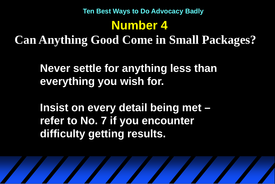### **Number 4 Can Anything Good Come in Small Packages? Ten Best Ways to Do Advocacy Badly**

**Never settle for anything less than everything you wish for.** 

**Insist on every detail being met – refer to No. 7 if you encounter difficulty getting results.**

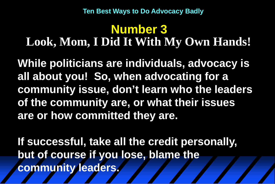### **Number 3 Look, Mom, I Did It With My Own Hands!**

**While politicians are individuals, advocacy is all about you! So, when advocating for a community issue, don't learn who the leaders of the community are, or what their issues are or how committed they are.**

**If successful, take all the credit personally, but of course if you lose, blame the community leaders.**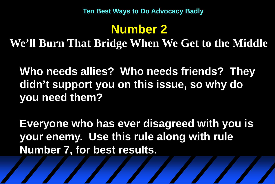## **Number 2**

**We'll Burn That Bridge When We Get to the Middle**

**Who needs allies? Who needs friends? They didn't support you on this issue, so why do you need them?**

**Everyone who has ever disagreed with you is your enemy. Use this rule along with rule Number 7, for best results.**